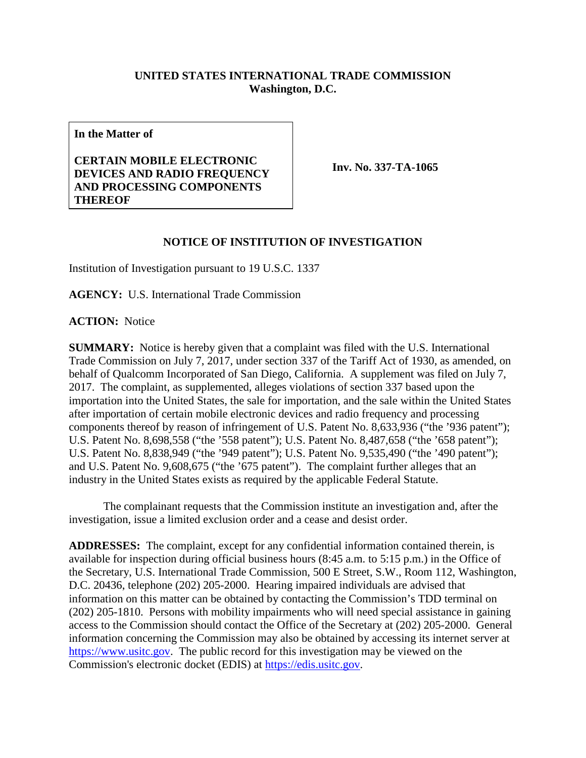## **UNITED STATES INTERNATIONAL TRADE COMMISSION Washington, D.C.**

**In the Matter of**

## **CERTAIN MOBILE ELECTRONIC DEVICES AND RADIO FREQUENCY AND PROCESSING COMPONENTS THEREOF**

**Inv. No. 337-TA-1065**

## **NOTICE OF INSTITUTION OF INVESTIGATION**

Institution of Investigation pursuant to 19 U.S.C. 1337

**AGENCY:** U.S. International Trade Commission

**ACTION:** Notice

**SUMMARY:** Notice is hereby given that a complaint was filed with the U.S. International Trade Commission on July 7, 2017, under section 337 of the Tariff Act of 1930, as amended, on behalf of Qualcomm Incorporated of San Diego, California. A supplement was filed on July 7, 2017. The complaint, as supplemented, alleges violations of section 337 based upon the importation into the United States, the sale for importation, and the sale within the United States after importation of certain mobile electronic devices and radio frequency and processing components thereof by reason of infringement of U.S. Patent No. 8,633,936 ("the '936 patent"); U.S. Patent No. 8,698,558 ("the '558 patent"); U.S. Patent No. 8,487,658 ("the '658 patent"); U.S. Patent No. 8,838,949 ("the '949 patent"); U.S. Patent No. 9,535,490 ("the '490 patent"); and U.S. Patent No. 9,608,675 ("the '675 patent"). The complaint further alleges that an industry in the United States exists as required by the applicable Federal Statute.

The complainant requests that the Commission institute an investigation and, after the investigation, issue a limited exclusion order and a cease and desist order.

**ADDRESSES:** The complaint, except for any confidential information contained therein, is available for inspection during official business hours (8:45 a.m. to 5:15 p.m.) in the Office of the Secretary, U.S. International Trade Commission, 500 E Street, S.W., Room 112, Washington, D.C. 20436, telephone (202) 205-2000. Hearing impaired individuals are advised that information on this matter can be obtained by contacting the Commission's TDD terminal on (202) 205-1810. Persons with mobility impairments who will need special assistance in gaining access to the Commission should contact the Office of the Secretary at (202) 205-2000. General information concerning the Commission may also be obtained by accessing its internet server at [https://www.usitc.gov.](https://www.usitc.gov/) The public record for this investigation may be viewed on the Commission's electronic docket (EDIS) at [https://edis.usitc.gov.](https://edis.usitc.gov/)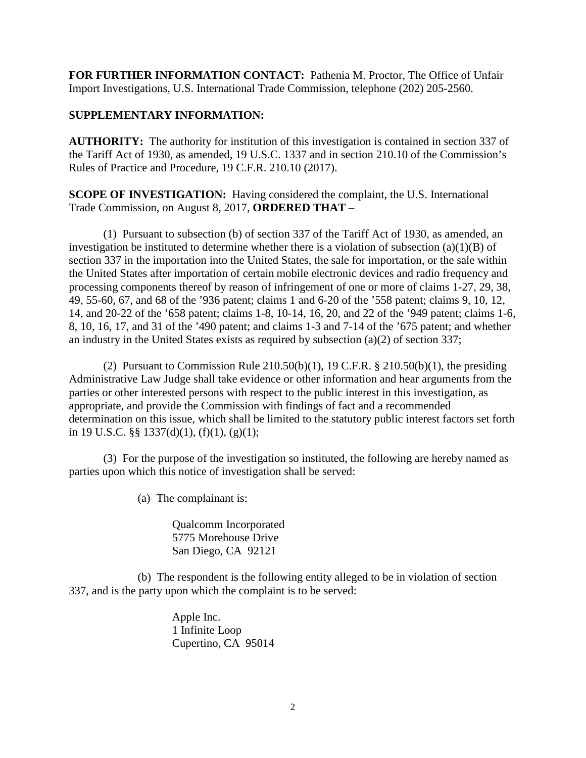**FOR FURTHER INFORMATION CONTACT:** Pathenia M. Proctor, The Office of Unfair Import Investigations, U.S. International Trade Commission, telephone (202) 205-2560.

## **SUPPLEMENTARY INFORMATION:**

**AUTHORITY:** The authority for institution of this investigation is contained in section 337 of the Tariff Act of 1930, as amended, 19 U.S.C. 1337 and in section 210.10 of the Commission's Rules of Practice and Procedure, 19 C.F.R. 210.10 (2017).

**SCOPE OF INVESTIGATION:** Having considered the complaint, the U.S. International Trade Commission, on August 8, 2017, **ORDERED THAT** –

(1) Pursuant to subsection (b) of section 337 of the Tariff Act of 1930, as amended, an investigation be instituted to determine whether there is a violation of subsection  $(a)(1)(B)$  of section 337 in the importation into the United States, the sale for importation, or the sale within the United States after importation of certain mobile electronic devices and radio frequency and processing components thereof by reason of infringement of one or more of claims 1-27, 29, 38, 49, 55-60, 67, and 68 of the '936 patent; claims 1 and 6-20 of the '558 patent; claims 9, 10, 12, 14, and 20-22 of the '658 patent; claims 1-8, 10-14, 16, 20, and 22 of the '949 patent; claims 1-6, 8, 10, 16, 17, and 31 of the '490 patent; and claims 1-3 and 7-14 of the '675 patent; and whether an industry in the United States exists as required by subsection (a)(2) of section 337;

(2) Pursuant to Commission Rule  $210.50(b)(1)$ , 19 C.F.R. §  $210.50(b)(1)$ , the presiding Administrative Law Judge shall take evidence or other information and hear arguments from the parties or other interested persons with respect to the public interest in this investigation, as appropriate, and provide the Commission with findings of fact and a recommended determination on this issue, which shall be limited to the statutory public interest factors set forth in 19 U.S.C. §§ 1337(d)(1), (f)(1), (g)(1);

(3) For the purpose of the investigation so instituted, the following are hereby named as parties upon which this notice of investigation shall be served:

(a) The complainant is:

Qualcomm Incorporated 5775 Morehouse Drive San Diego, CA 92121

(b) The respondent is the following entity alleged to be in violation of section 337, and is the party upon which the complaint is to be served:

> Apple Inc. 1 Infinite Loop Cupertino, CA 95014